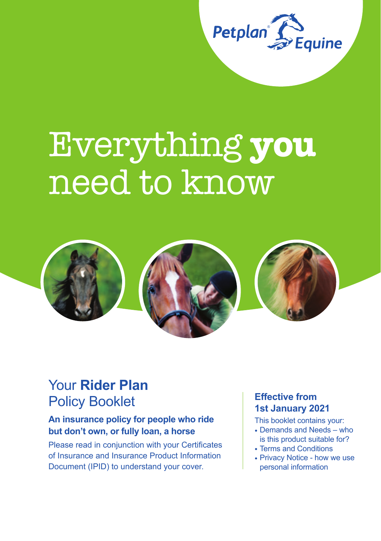

# Everything **you** need to know



## Your **Rider Plan** Policy Booklet

## **An insurance policy for people who ride but don't own, or fully loan, a horse**

Please read in conjunction with your Certificates of Insurance and Insurance Product Information Document (IPID) to understand your cover.

## **Effective from 1st January 2021**

This booklet contains your:

- Demands and Needs who is this product suitable for?
- Terms and Conditions
- Privacy Notice how we use personal information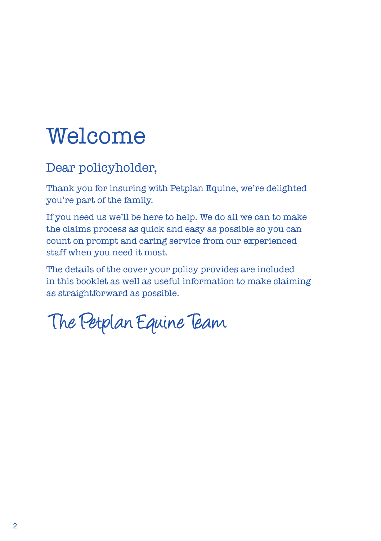## Welcome

## Dear policyholder,

Thank you for insuring with Petplan Equine, we're delighted you're part of the family.

If you need us we'll be here to help. We do all we can to make the claims process as quick and easy as possible so you can count on prompt and caring service from our experienced staff when you need it most.

The details of the cover your policy provides are included in this booklet as well as useful information to make claiming as straightforward as possible.

The Petplan Equine Team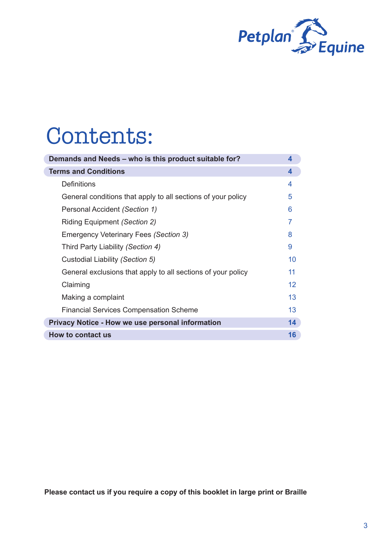

## Contents:

| Demands and Needs - who is this product suitable for?        | 4  |
|--------------------------------------------------------------|----|
| <b>Terms and Conditions</b>                                  | 4  |
| Definitions                                                  | 4  |
| General conditions that apply to all sections of your policy | 5  |
| Personal Accident (Section 1)                                | 6  |
| Riding Equipment (Section 2)                                 | 7  |
| Emergency Veterinary Fees (Section 3)                        | 8  |
| Third Party Liability (Section 4)                            | 9  |
| Custodial Liability (Section 5)                              | 10 |
| General exclusions that apply to all sections of your policy | 11 |
| Claiming                                                     | 12 |
| Making a complaint                                           | 13 |
| <b>Financial Services Compensation Scheme</b>                | 13 |
| Privacy Notice - How we use personal information             | 14 |
| How to contact us                                            | 16 |

**Please contact us if you require a copy of this booklet in large print or Braille**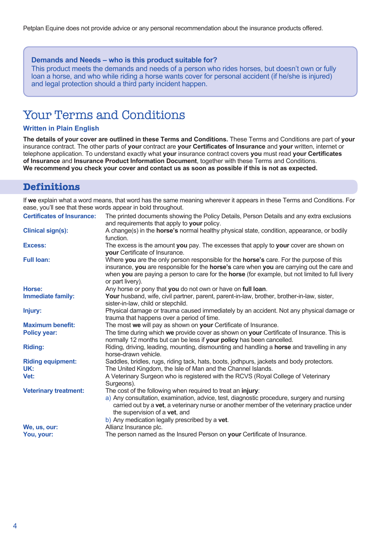Petplan Equine does not provide advice or any personal recommendation about the insurance products offered.

#### **Demands and Needs – who is this product suitable for?**

This product meets the demands and needs of a person who rides horses, but doesn't own or fully loan a horse, and who while riding a horse wants cover for personal accident (if he/she is injured) and legal protection should a third party incident happen.

## Your Terms and Conditions

#### **Written in Plain English**

**The details of your cover are outlined in these Terms and Conditions.** These Terms and Conditions are part of **your** insurance contract. The other parts of **your** contract are **your Certificates of Insurance** and **your** written, internet or telephone application. To understand exactly what **your** insurance contract covers **you** must read **your Certificates of Insurance** and **Insurance Product Information Document**, together with these Terms and Conditions. **We recommend you check your cover and contact us as soon as possible if this is not as expected.**

#### **Definitions**

If **we** explain what a word means, that word has the same meaning wherever it appears in these Terms and Conditions. For ease, you'll see that these words appear in bold throughout.

| <b>Certificates of Insurance:</b> | The printed documents showing the Policy Details, Person Details and any extra exclusions                                                                                                                                                                                                                                                  |
|-----------------------------------|--------------------------------------------------------------------------------------------------------------------------------------------------------------------------------------------------------------------------------------------------------------------------------------------------------------------------------------------|
|                                   | and requirements that apply to your policy.                                                                                                                                                                                                                                                                                                |
| Clinical sign(s):                 | A change(s) in the <b>horse's</b> normal healthy physical state, condition, appearance, or bodily<br>function.                                                                                                                                                                                                                             |
| Excess:                           | The excess is the amount you pay. The excesses that apply to your cover are shown on<br>your Certificate of Insurance.                                                                                                                                                                                                                     |
| <b>Full loan:</b>                 | Where you are the only person responsible for the horse's care. For the purpose of this<br>insurance, you are responsible for the horse's care when you are carrying out the care and<br>when you are paying a person to care for the horse (for example, but not limited to full livery<br>or part livery).                               |
| Horse:                            | Any horse or pony that you do not own or have on full loan.                                                                                                                                                                                                                                                                                |
| Immediate family:                 | Your husband, wife, civil partner, parent, parent-in-law, brother, brother-in-law, sister,<br>sister-in-law, child or stepchild.                                                                                                                                                                                                           |
| Injury:                           | Physical damage or trauma caused immediately by an accident. Not any physical damage or<br>trauma that happens over a period of time.                                                                                                                                                                                                      |
| <b>Maximum benefit:</b>           | The most we will pay as shown on your Certificate of Insurance.                                                                                                                                                                                                                                                                            |
| Policy year:                      | The time during which we provide cover as shown on your Certificate of Insurance. This is<br>normally 12 months but can be less if your policy has been cancelled.                                                                                                                                                                         |
| <b>Riding:</b>                    | Riding, driving, leading, mounting, dismounting and handling a <b>horse</b> and travelling in any<br>horse-drawn vehicle.                                                                                                                                                                                                                  |
| <b>Riding equipment:</b><br>UK:   | Saddles, bridles, rugs, riding tack, hats, boots, jodhpurs, jackets and body protectors.<br>The United Kingdom, the Isle of Man and the Channel Islands.                                                                                                                                                                                   |
| Vet:                              | A Veterinary Surgeon who is registered with the RCVS (Royal College of Veterinary<br>Surgeons).                                                                                                                                                                                                                                            |
| <b>Veterinary treatment:</b>      | The cost of the following when required to treat an injury:<br>a) Any consultation, examination, advice, test, diagnostic procedure, surgery and nursing<br>carried out by a vet, a veterinary nurse or another member of the veterinary practice under<br>the supervision of a vet, and<br>b) Any medication legally prescribed by a vet. |
| We. us. our:                      | Allianz Insurance plc.                                                                                                                                                                                                                                                                                                                     |
| You, your:                        | The person named as the Insured Person on your Certificate of Insurance.                                                                                                                                                                                                                                                                   |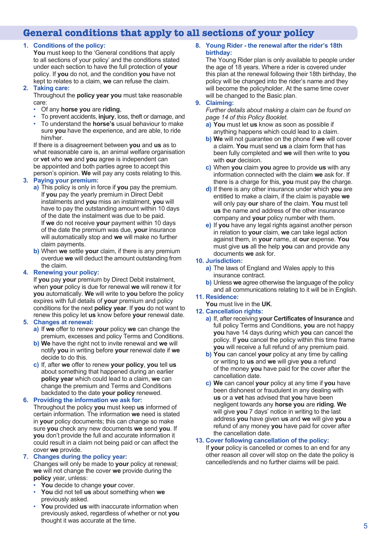## **General conditions that apply to all sections of your policy**

#### **1. Conditions of the policy:**

**You** must keep to the 'General conditions that apply to all sections of your policy' and the conditions stated under each section to have the full protection of **your** policy. If **you** do not, and the condition **you** have not kept to relates to a claim, **we** can refuse the claim.

#### **2. Taking care:**

Throughout the **policy year you** must take reasonable care:

- Of any **horse you** are **riding**,
- To prevent accidents, **injury**, loss, theft or damage, and • To understand the **horse's** usual behaviour to make
- sure **you** have the experience, and are able, to ride him/her.

If there is a disagreement between **you** and **us** as to what reasonable care is, an animal welfare organisation or **vet** who **we** and **you** agree is independent can be appointed and both parties agree to accept this person's opinion. **We** will pay any costs relating to this.

#### **3. Paying your premium:**

- **a)** This policy is only in force if **you** pay the premium. If **you** pay the yearly premium in Direct Debit instalments and **you** miss an instalment, **you** will have to pay the outstanding amount within 10 days of the date the instalment was due to be paid. If **we** do not receive **your** payment within 10 days of the date the premium was due, **your** insurance will automatically stop and **we** will make no further claim payments.
- **b)** When **we** settle **your** claim, if there is any premium overdue **we** will deduct the amount outstanding from the claim.

#### **4. Renewing your policy:**

If **you** pay **your** premium by Direct Debit instalment, when **your** policy is due for renewal **we** will renew it for **you** automatically. **We** will write to **you** before the policy expires with full details of **your** premium and policy conditions for the next **policy year**. If **you** do not want to renew this policy let **us** know before **your** renewal date.

#### **5. Changes at renewal:**

- **a)** If **we** offer to renew **your** policy **we** can change the premium, excesses and policy Terms and Conditions.
- **b)** We have the right not to invite renewal and we will notify **you** in writing before **your** renewal date if **we**  decide to do this.
- **c)** If, after **we** offer to renew **your policy**, **you** tell **us**  about something that happened during an earlier **policy year** which could lead to a claim, **we** can change the premium and Terms and Conditions backdated to the date **your policy** renewed.

#### **6. Providing the information we ask for:**

Throughout the policy **you** must keep **us** informed of certain information. The information **we** need is stated in **your** policy documents; this can change so make sure **you** check any new documents **we** send **you**. If **you** don't provide the full and accurate information it could result in a claim not being paid or can affect the cover **we** provide.

#### **7. Changes during the policy year:**

Changes will only be made to **your** policy at renewal; **we** will not change the cover **we** provide during the **policy** year, unless:

- **You** decide to change **your** cover.
- **You** did not tell **us** about something when **we**  previously asked.
- **You** provided **us** with inaccurate information when previously asked, regardless of whether or not **you** thought it was accurate at the time.

#### **8. Young Rider - the renewal after the rider's 18th birthday:**

The Young Rider plan is only available to people under the age of 18 years. Where a rider is covered under this plan at the renewal following their 18th birthday, the policy will be changed into the rider's name and they will become the policyholder. At the same time cover will be changed to the Basic plan.

#### **9. Claiming:**

*Further details about making a claim can be found on page 14 of this Policy Booklet.*

- **a) You** must let **us** know as soon as possible if anything happens which could lead to a claim.
- **b) We** will not guarantee on the phone if **we** will cover a claim. **You** must send **us** a claim form that has been fully completed and **we** will then write to **you** with **our** decision.
- **c)** When **you** claim **you** agree to provide **us** with any information connected with the claim **we** ask for. If there is a charge for this, **you** must pay the charge.
- **d)** If there is any other insurance under which **you** are entitled to make a claim, if the claim is payable **we**  will only pay **our** share of the claim. **You** must tell **us** the name and address of the other insurance company and **your** policy number with them.
- **e)** If **you** have any legal rights against another person in relation to **your** claim, **we** can take legal action against them, in **your** name, at **our** expense. **You** must give **us** all the help **you** can and provide any documents **we** ask for.

#### **10. Jurisdiction:**

- **a)** The laws of England and Wales apply to this insurance contract.
- **b)** Unless **we** agree otherwise the language of the policy and all communications relating to it will be in English.

#### **11. Residence:**

**You** must live in the **UK**.

#### **12. Cancellation rights:**

- **a)** If, after receiving **your Certificates of Insurance** and full policy Terms and Conditions, **you** are not happy **you** have 14 days during which **you** can cancel the policy. If **you** cancel the policy within this time frame **you** will receive a full refund of any premium paid.
- **b) You** can cancel **your** policy at any time by calling or writing to **us** and **we** will give **you** a refund of the money **you** have paid for the cover after the cancellation date.
- **c) We** can cancel **your** policy at any time if **you** have been dishonest or fraudulent in any dealing with **us** or a **vet** has advised that **you** have been negligent towards any **horse you** are **riding**. **We**  will give **you** 7 days' notice in writing to the last address **you** have given **us** and **we** will give **you** a refund of any money **you** have paid for cover after the cancellation date.

#### **13. Cover following cancellation of the policy:**

If **your** policy is cancelled or comes to an end for any other reason all cover will stop on the date the policy is cancelled/ends and no further claims will be paid.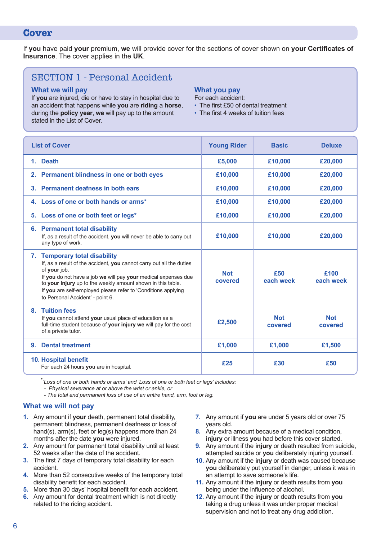#### **Cover**

If **you** have paid **your** premium, **we** will provide cover for the sections of cover shown on **your Certificates of Insurance**. The cover applies in the **UK**.

### SECTION 1 - Personal Accident

#### **What we will pay**

If **you** are injured, die or have to stay in hospital due to an accident that happens while **you** are **riding** a **horse**, during the **policy year**, **we** will pay up to the amount stated in the List of Cover.

#### **What you pay**

- For each accident:
- The first £50 of dental treatment
- The first 4 weeks of tuition fees

| <b>List of Cover</b>                                                                                                                                                                                                                                                                                                                                        | <b>Young Rider</b>    | <b>Basic</b>          | <b>Deluxe</b>         |
|-------------------------------------------------------------------------------------------------------------------------------------------------------------------------------------------------------------------------------------------------------------------------------------------------------------------------------------------------------------|-----------------------|-----------------------|-----------------------|
| <b>Death</b><br>1.                                                                                                                                                                                                                                                                                                                                          | £5,000                | £10,000               | £20,000               |
| 2. Permanent blindness in one or both eyes                                                                                                                                                                                                                                                                                                                  | £10,000               | £10,000               | £20,000               |
| Permanent deafness in both ears<br>3.                                                                                                                                                                                                                                                                                                                       | £10,000               | £10,000               | £20,000               |
| 4. Loss of one or both hands or arms*                                                                                                                                                                                                                                                                                                                       | £10,000               | £10,000               | £20,000               |
| 5. Loss of one or both feet or legs*                                                                                                                                                                                                                                                                                                                        | £10,000               | £10,000               | £20,000               |
| <b>Permanent total disability</b><br>6.<br>If, as a result of the accident, you will never be able to carry out<br>any type of work.                                                                                                                                                                                                                        | £10,000               | £10,000               | £20,000               |
| 7. Temporary total disability<br>If, as a result of the accident, you cannot carry out all the duties<br>of your job.<br>If you do not have a job we will pay your medical expenses due<br>to your injury up to the weekly amount shown in this table.<br>If you are self-employed please refer to 'Conditions applying<br>to Personal Accident' - point 6. | <b>Not</b><br>covered | £50<br>each week      | £100<br>each week     |
| 8. Tuition fees<br>If you cannot attend your usual place of education as a<br>full-time student because of your injury we will pay for the cost<br>of a private tutor.                                                                                                                                                                                      | £2,500                | <b>Not</b><br>covered | <b>Not</b><br>covered |
| <b>Dental treatment</b><br>9.                                                                                                                                                                                                                                                                                                                               | £1,000                | £1,000                | £1,500                |
| 10. Hospital benefit<br>For each 24 hours you are in hospital.                                                                                                                                                                                                                                                                                              | £25                   | £30                   | £50                   |

*\*'Loss of one or both hands or arms' and 'Loss of one or both feet or legs' includes:*

*- Physical severance at or above the wrist or ankle, or*

*- The total and permanent loss of use of an entire hand, arm, foot or leg.*

#### **What we will not pay**

- **1.** Any amount if **your** death, permanent total disability, permanent blindness, permanent deafness or loss of hand(s), arm(s), feet or leg(s) happens more than 24 months after the date **you** were injured.
- **2.** Any amount for permanent total disability until at least 52 weeks after the date of the accident.
- **3.** The first 7 days of temporary total disability for each accident.
- **4.** More than 52 consecutive weeks of the temporary total disability benefit for each accident.
- **5.** More than 30 days' hospital benefit for each accident.
- **6.** Any amount for dental treatment which is not directly related to the riding accident.
- **7.** Any amount if **you** are under 5 years old or over 75 years old.
- **8.** Any extra amount because of a medical condition, **injury** or illness **you** had before this cover started.
- **9.** Any amount if the **injury** or death resulted from suicide, attempted suicide or **you** deliberately injuring yourself.
- **10.** Any amount if the **injury** or death was caused because **you** deliberately put yourself in danger, unless it was in an attempt to save someone's life.
- **11.** Any amount if the **injury** or death results from **you** being under the influence of alcohol.
- **12.** Any amount if the **injury** or death results from **you** taking a drug unless it was under proper medical supervision and not to treat any drug addiction.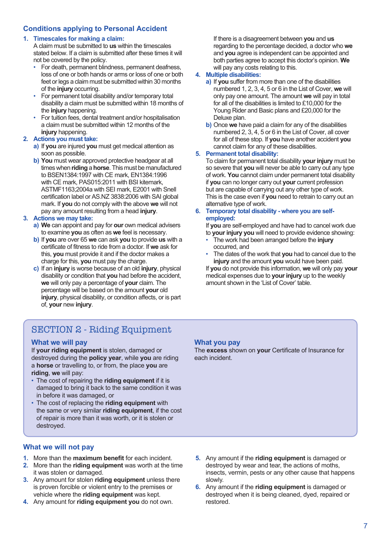#### **Conditions applying to Personal Accident**

#### **1. Timescales for making a claim:**

A claim must be submitted to **us** within the timescales stated below. If a claim is submitted after these times it will not be covered by the policy.

- For death, permanent blindness, permanent deafness, loss of one or both hands or arms or loss of one or both feet or legs a claim must be submitted within 30 months of the **injury** occurring.
- For permanent total disability and/or temporary total disability a claim must be submitted within 18 months of the **injury** happening.
- For tuition fees, dental treatment and/or hospitalisation a claim must be submitted within 12 months of the **injury** happening.

#### **2. Actions you must take:**

- **a)** If **you** are injured **you** must get medical attention as soon as possible.
- **b) You** must wear approved protective headgear at all times when **riding** a **horse**. This must be manufactured to BSEN1384:1997 with CE mark, EN1384:1996 with CE mark, PAS015:2011 with BSI kitemark, ASTMF1163;2004a with SEI mark, E2001 with Snell certification label or AS.NZ 3838:2006 with SAI global mark. If **you** do not comply with the above **we** will not pay any amount resulting from a head **injury**.

#### **3. Actions we may take:**

- **a) We** can appoint and pay for **our** own medical advisers to examine **you** as often as **we** feel is necessary.
- **b)** If **you** are over 65 **we** can ask **you** to provide **us** with a certificate of fitness to ride from a doctor. If **we** ask for this, **you** must provide it and if the doctor makes a charge for this, **you** must pay the charge.
- **c)** If an **injury** is worse because of an old **injury**, physical disability or condition that **you** had before the accident, **we** will only pay a percentage of **your** claim. The percentage will be based on the amount **your** old **injury**, physical disability, or condition affects, or is part of, **your** new **injury**.

#### If there is a disagreement between **you** and **us**  regarding to the percentage decided, a doctor who **we**  and **you** agree is independent can be appointed and both parties agree to accept this doctor's opinion. **We**  will pay any costs relating to this.

#### **4. Multiple disabilities:**

- **a)** If **you** suffer from more than one of the disabilities numbered 1, 2, 3, 4, 5 or 6 in the List of Cover, **we** will only pay one amount. The amount **we** will pay in total for all of the disabilities is limited to £10,000 for the Young Rider and Basic plans and £20,000 for the Deluxe plan.
- **b)** Once **we** have paid a claim for any of the disabilities numbered 2, 3, 4, 5 or 6 in the List of Cover, all cover for all of these stop. If **you** have another accident **you**  cannot claim for any of these disabilities.

#### **5. Permanent total disability:**

To claim for permanent total disability **your injury** must be so severe that **you** will never be able to carry out any type of work. **You** cannot claim under permanent total disability if **you** can no longer carry out **your** current profession but are capable of carrying out any other type of work. This is the case even if **you** need to retrain to carry out an alternative type of work.

#### **6. Temporary total disability - where you are selfemployed:**

If **you** are self-employed and have had to cancel work due to **your injury you** will need to provide evidence showing:

- The work had been arranged before the **injury**  occurred, and
- The dates of the work that **you** had to cancel due to the **injury** and the amount **you** would have been paid.

If **you** do not provide this information, **we** will only pay **your**  medical expenses due to **your injury** up to the weekly amount shown in the 'List of Cover' table.

## SECTION 2 - Riding Equipment

#### **What we will pay**

If **your riding equipment** is stolen, damaged or destroyed during the **policy year**, while **you** are riding a **horse** or travelling to, or from, the place **you** are **riding**, **we** will pay:

- The cost of repairing the **riding equipment** if it is damaged to bring it back to the same condition it was in before it was damaged, or
- The cost of replacing the **riding equipment** with the same or very similar **riding equipment**, if the cost of repair is more than it was worth, or it is stolen or destroyed.

#### **What you pay**

The **excess** shown on **your** Certificate of Insurance for each incident.

#### **What we will not pay**

- **1.** More than the **maximum benefit** for each incident.
- **2.** More than the **riding equipment** was worth at the time it was stolen or damaged.
- **3.** Any amount for stolen **riding equipment** unless there is proven forcible or violent entry to the premises or vehicle where the **riding equipment** was kept.
- **4.** Any amount for **riding equipment you** do not own.
- **5.** Any amount if the **riding equipment** is damaged or destroyed by wear and tear, the actions of moths, insects, vermin, pests or any other cause that happens slowly.
- **6.** Any amount if the **riding equipment** is damaged or destroyed when it is being cleaned, dyed, repaired or restored.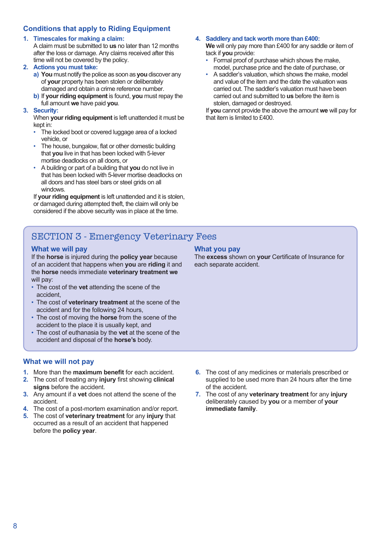#### **Conditions that apply to Riding Equipment**

#### **1. Timescales for making a claim:**

A claim must be submitted to **us** no later than 12 months after the loss or damage. Any claims received after this time will not be covered by the policy.

#### **2. Actions you must take:**

- **a) You** must notify the police as soon as **you** discover any of **your** property has been stolen or deliberately damaged and obtain a crime reference number.
- **b)** If **your riding equipment** is found, **you** must repay the full amount **we** have paid **you**.

#### **3. Security:**

When **your riding equipment** is left unattended it must be kept in:

- The locked boot or covered luggage area of a locked vehicle, or
- The house, bungalow, flat or other domestic building that **you** live in that has been locked with 5-lever mortise deadlocks on all doors, or
- A building or part of a building that **you** do not live in that has been locked with 5-lever mortise deadlocks on all doors and has steel bars or steel grids on all windows.

If **your riding equipment** is left unattended and it is stolen, or damaged during attempted theft, the claim will only be considered if the above security was in place at the time.

#### **4. Saddlery and tack worth more than £400:**

**We** will only pay more than £400 for any saddle or item of tack if **you** provide:

- Formal proof of purchase which shows the make, model, purchase price and the date of purchase, or
- A saddler's valuation, which shows the make, model and value of the item and the date the valuation was carried out. The saddler's valuation must have been carried out and submitted to **us** before the item is stolen, damaged or destroyed.

If **you** cannot provide the above the amount **we** will pay for that item is limited to £400.

## SECTION 3 - Emergency Veterinary Fees

#### **What we will pay**

If the **horse** is injured during the **policy year** because of an accident that happens when **you** are **riding** it and the **horse** needs immediate **veterinary treatment we** will pay:

- The cost of the **vet** attending the scene of the accident,
- The cost of **veterinary treatment** at the scene of the accident and for the following 24 hours,
- The cost of moving the **horse** from the scene of the accident to the place it is usually kept, and
- The cost of euthanasia by the **vet** at the scene of the accident and disposal of the **horse's** body.

#### **What we will not pay**

- **1.** More than the **maximum benefit** for each accident.
- **2.** The cost of treating any **injury** first showing **clinical signs** before the accident.
- **3.** Any amount if a **vet** does not attend the scene of the accident.
- **4.** The cost of a post-mortem examination and/or report.
- **5.** The cost of **veterinary treatment** for any **injury** that occurred as a result of an accident that happened before the **policy year**.
- **6.** The cost of any medicines or materials prescribed or supplied to be used more than 24 hours after the time of the accident.

The **excess** shown on **your** Certificate of Insurance for

**What you pay**

each separate accident.

**7.** The cost of any **veterinary treatment** for any **injury** deliberately caused by **you** or a member of **your immediate family**.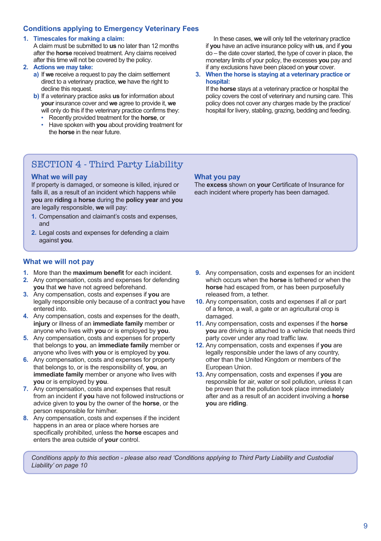#### **Conditions applying to Emergency Veterinary Fees**

#### **1. Timescales for making a claim:**

A claim must be submitted to **us** no later than 12 months after the **horse** received treatment. Any claims received after this time will not be covered by the policy.

#### **2. Actions we may take:**

- **a)** If **we** receive a request to pay the claim settlement direct to a veterinary practice, **we** have the right to decline this request.
- **b)** If a veterinary practice asks **us** for information about **your** insurance cover and **we** agree to provide it, **we**  will only do this if the veterinary practice confirms they:
	- Recently provided treatment for the **horse**, or
	- Have spoken with **you** about providing treatment for the **horse** in the near future.

 In these cases, **we** will only tell the veterinary practice if **you** have an active insurance policy with **us**, and if **you** do – the date cover started, the type of cover in place, the monetary limits of your policy, the excesses **you** pay and if any exclusions have been placed on **your** cover.

#### **3. When the horse is staying at a veterinary practice or hospital:**

If the **horse** stays at a veterinary practice or hospital the policy covers the cost of veterinary and nursing care. This policy does not cover any charges made by the practice/ hospital for livery, stabling, grazing, bedding and feeding.

## SECTION 4 - Third Party Liability

#### **What we will pay**

If property is damaged, or someone is killed, injured or falls ill, as a result of an incident which happens while **you** are **riding** a **horse** during the **policy year** and **you** are legally responsible, **we** will pay:

- **1.** Compensation and claimant's costs and expenses, and
- **2.** Legal costs and expenses for defending a claim against **you**.

#### **What we will not pay**

- **1.** More than the **maximum benefit** for each incident.
- **2.** Any compensation, costs and expenses for defending **you** that **we** have not agreed beforehand.
- **3.** Any compensation, costs and expenses if **you** are legally responsible only because of a contract **you** have entered into.
- **4.** Any compensation, costs and expenses for the death, **injury** or illness of an **immediate family** member or anyone who lives with **you** or is employed by **you**.
- **5.** Any compensation, costs and expenses for property that belongs to **you**, an **immediate family** member or anyone who lives with **you** or is employed by **you**.
- **6.** Any compensation, costs and expenses for property that belongs to, or is the responsibility of, **you**, an **immediate family** member or anyone who lives with **you** or is employed by **you**.
- **7.** Any compensation, costs and expenses that result from an incident if **you** have not followed instructions or advice given to **you** by the owner of the **horse**, or the person responsible for him/her.
- **8.** Any compensation, costs and expenses if the incident happens in an area or place where horses are specifically prohibited, unless the **horse** escapes and enters the area outside of **your** control.

**What you pay**

The **excess** shown on **your** Certificate of Insurance for each incident where property has been damaged.

- **9.** Any compensation, costs and expenses for an incident which occurs when the **horse** is tethered or when the **horse** had escaped from, or has been purposefully released from, a tether.
- **10.** Any compensation, costs and expenses if all or part of a fence, a wall, a gate or an agricultural crop is damaged
- **11.** Any compensation, costs and expenses if the **horse you** are driving is attached to a vehicle that needs third party cover under any road traffic law.
- **12.** Any compensation, costs and expenses if **you** are legally responsible under the laws of any country, other than the United Kingdom or members of the European Union.
- **13.** Any compensation, costs and expenses if **you** are responsible for air, water or soil pollution, unless it can be proven that the pollution took place immediately after and as a result of an accident involving a **horse you** are **riding**.

*Conditions apply to this section - please also read 'Conditions applying to Third Party Liability and Custodial Liability' on page 10*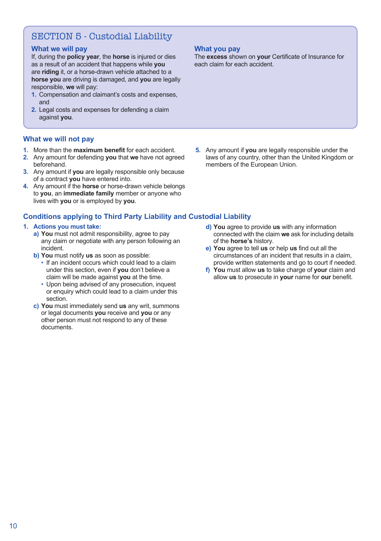## SECTION 5 - Custodial Liability

#### **What we will pay**

If, during the **policy year**, the **horse** is injured or dies as a result of an accident that happens while **you** are **riding** it, or a horse-drawn vehicle attached to a **horse you** are driving is damaged, and **you** are legally responsible, **we** will pay:

- **1.** Compensation and claimant's costs and expenses, and
- **2.** Legal costs and expenses for defending a claim against **you**.

#### **What we will not pay**

- **1.** More than the **maximum benefit** for each accident.
- **2.** Any amount for defending **you** that **we** have not agreed beforehand.
- **3.** Any amount if **you** are legally responsible only because of a contract **you** have entered into.
- **4.** Any amount if the **horse** or horse-drawn vehicle belongs to **you**, an **immediate family** member or anyone who lives with **you** or is employed by **you**.

#### **Conditions applying to Third Party Liability and Custodial Liability**

#### **1. Actions you must take:**

- **a) You** must not admit responsibility, agree to pay any claim or negotiate with any person following an incident.
- **b) You** must notify **us** as soon as possible:
	- If an incident occurs which could lead to a claim under this section, even if **you** don't believe a claim will be made against **you** at the time.
	- Upon being advised of any prosecution, inquest or enquiry which could lead to a claim under this section.
- **c) You** must immediately send **us** any writ, summons or legal documents **you** receive and **you** or any other person must not respond to any of these documents.

**What you pay**

The **excess** shown on **your** Certificate of Insurance for each claim for each accident.

- **5.** Any amount if **you** are legally responsible under the laws of any country, other than the United Kingdom or members of the European Union.
	- **d) You** agree to provide **us** with any information connected with the claim **we** ask for including details of the **horse's** history.
	- **e) You** agree to tell **us** or help **us** find out all the circumstances of an incident that results in a claim, provide written statements and go to court if needed.
	- **f) You** must allow **us** to take charge of **your** claim and allow **us** to prosecute in **your** name for **our** benefit.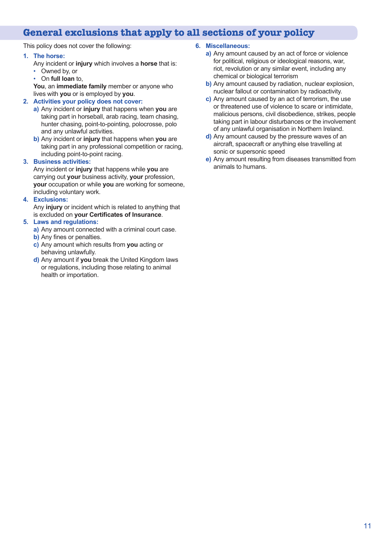## **General exclusions that apply to all sections of your policy**

This policy does not cover the following:

#### **1. The horse:**

- Any incident or **injury** which involves a **horse** that is:
- Owned by, or
- On **full loan** to,

**You**, an **immediate family** member or anyone who lives with **you** or is employed by **you**.

#### **2. Activities your policy does not cover:**

- **a)** Any incident or **injury** that happens when **you** are taking part in horseball, arab racing, team chasing, hunter chasing, point-to-pointing, polocrosse, polo and any unlawful activities.
- **b)** Any incident or **injury** that happens when **you** are taking part in any professional competition or racing, including point-to-point racing.

#### **3. Business activities:**

Any incident or **injury** that happens while **you** are carrying out **your** business activity, **your** profession, **your** occupation or while **you** are working for someone, including voluntary work.

**4. Exclusions:**

Any **injury** or incident which is related to anything that is excluded on **your Certificates of Insurance**.

#### **5. Laws and regulations:**

- **a)** Any amount connected with a criminal court case.
- **b)** Any fines or penalties.
- **c)** Any amount which results from **you** acting or behaving unlawfully.
- **d)** Any amount if **you** break the United Kingdom laws or regulations, including those relating to animal health or importation.

#### **6. Miscellaneous:**

- **a)** Any amount caused by an act of force or violence for political, religious or ideological reasons, war, riot, revolution or any similar event, including any chemical or biological terrorism
- **b)** Any amount caused by radiation, nuclear explosion, nuclear fallout or contamination by radioactivity.
- **c)** Any amount caused by an act of terrorism, the use or threatened use of violence to scare or intimidate, malicious persons, civil disobedience, strikes, people taking part in labour disturbances or the involvement of any unlawful organisation in Northern Ireland.
- **d)** Any amount caused by the pressure waves of an aircraft, spacecraft or anything else travelling at sonic or supersonic speed
- **e)** Any amount resulting from diseases transmitted from animals to humans.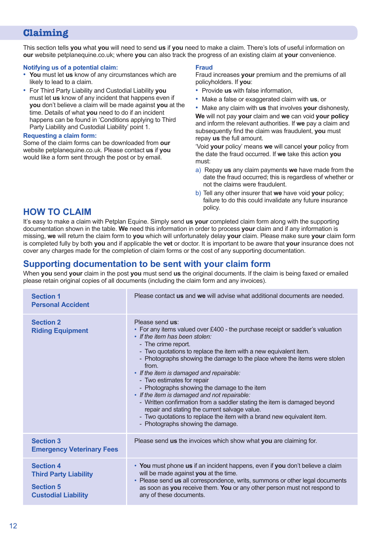## **Claiming**

This section tells **you** what **you** will need to send **us** if **you** need to make a claim. There's lots of useful information on **our** website petplanequine.co.uk; where **you** can also track the progress of an existing claim at **your** convenience.

#### **Notifying us of a potential claim:**

- **You** must let **us** know of any circumstances which are likely to lead to a claim.
- For Third Party Liability and Custodial Liability **you** must let **us** know of any incident that happens even if **you** don't believe a claim will be made against **you** at the time. Details of what **you** need to do if an incident happens can be found in 'Conditions applying to Third Party Liability and Custodial Liability' point 1.

#### **Requesting a claim form:**

Some of the claim forms can be downloaded from **our** website petplanequine.co.uk. Please contact **us** if **you** would like a form sent through the post or by email.

#### **Fraud**

Fraud increases **your** premium and the premiums of all policyholders. If **you**:

- Provide **us** with false information,
- Make a false or exaggerated claim with **us**, or
- Make any claim with **us** that involves **your** dishonesty,

**We** will not pay **your** claim and **we** can void **your policy** and inform the relevant authorities. If **we** pay a claim and subsequently find the claim was fraudulent, **you** must repay **us** the full amount.

'Void **your** policy' means **we** will cancel **your** policy from the date the fraud occurred. If **we** take this action **you** must:

- a)Repay **us** any claim payments **we** have made from the date the fraud occurred; this is regardless of whether or not the claims were fraudulent.
- b) Tell any other insurer that **we** have void **your** policy; failure to do this could invalidate any future insurance

## policy. **HOW TO CLAIM**

It's easy to make a claim with Petplan Equine. Simply send **us your** completed claim form along with the supporting documentation shown in the table. **We** need this information in order to process **your** claim and if any information is missing, **we** will return the claim form to **you** which will unfortunately delay **your** claim. Please make sure **your** claim form is completed fully by both **you** and if applicable the **vet** or doctor. It is important to be aware that **your** insurance does not cover any charges made for the completion of claim forms or the cost of any supporting documentation.

## **Supporting documentation to be sent with your claim form**

When **you** send **your** claim in the post **you** must send **us** the original documents. If the claim is being faxed or emailed please retain original copies of all documents (including the claim form and any invoices).

| <b>Section 1</b><br><b>Personal Accident</b>                                                       | Please contact us and we will advise what additional documents are needed.                                                                                                                                                                                                                                                                                                                                                                                                                                                                                                                                                                                                                                                                |
|----------------------------------------------------------------------------------------------------|-------------------------------------------------------------------------------------------------------------------------------------------------------------------------------------------------------------------------------------------------------------------------------------------------------------------------------------------------------------------------------------------------------------------------------------------------------------------------------------------------------------------------------------------------------------------------------------------------------------------------------------------------------------------------------------------------------------------------------------------|
| <b>Section 2</b><br><b>Riding Equipment</b>                                                        | Please send us:<br>• For any items valued over £400 - the purchase receipt or saddler's valuation<br>• If the item has been stolen:<br>- The crime report.<br>- Two quotations to replace the item with a new equivalent item.<br>- Photographs showing the damage to the place where the items were stolen<br>from<br>• If the item is damaged and repairable:<br>- Two estimates for repair<br>- Photographs showing the damage to the item<br>• If the item is damaged and not repairable:<br>- Written confirmation from a saddler stating the item is damaged beyond<br>repair and stating the current salvage value.<br>- Two quotations to replace the item with a brand new equivalent item.<br>- Photographs showing the damage. |
| <b>Section 3</b><br><b>Emergency Veterinary Fees</b>                                               | Please send us the invoices which show what you are claiming for.                                                                                                                                                                                                                                                                                                                                                                                                                                                                                                                                                                                                                                                                         |
| <b>Section 4</b><br><b>Third Party Liability</b><br><b>Section 5</b><br><b>Custodial Liability</b> | • You must phone us if an incident happens, even if you don't believe a claim<br>will be made against you at the time.<br>• Please send us all correspondence, writs, summons or other legal documents<br>as soon as you receive them. You or any other person must not respond to<br>any of these documents.                                                                                                                                                                                                                                                                                                                                                                                                                             |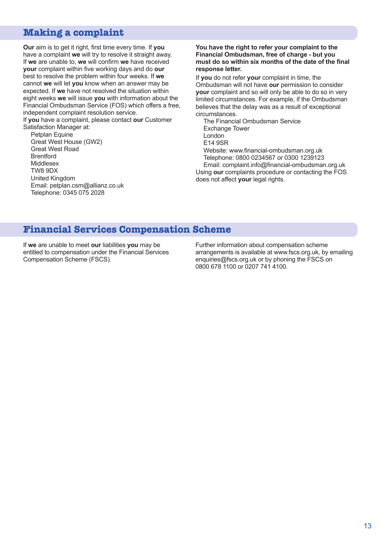## **Making a complaint**

**Our** aim is to get it right, first time every time. If **you** have a complaint **we** will try to resolve it straight away. If **we** are unable to, **we** will confirm **we** have received **your** complaint within five working days and do **our** best to resolve the problem within four weeks. If **we** cannot **we** will let **you** know when an answer may be expected. If **we** have not resolved the situation within eight weeks **we** will issue **you** with information about the Financial Ombudsman Service (FOS) which offers a free, independent complaint resolution service. If **you** have a complaint, please contact **our** Customer

Satisfaction Manager at:

Petplan Equine Great West House (GW2) Great West Road Brentford Middlesex TW8 9DX United Kingdom Email: petplan.csm@allianz.co.uk Telephone: 0345 075 2028

#### **You have the right to refer your complaint to the Financial Ombudsman, free of charge - but you must do so within six months of the date of the final response letter.**

If **you** do not refer **your** complaint in time, the Ombudsman will not have **our** permission to consider **your** complaint and so will only be able to do so in very limited circumstances. For example, if the Ombudsman believes that the delay was as a result of exceptional circumstances.

The Financial Ombudsman Service Exchange Tower London E14 9SR Website: www.financial-ombudsman.org.uk Telephone: 0800 0234567 or 0300 1239123 Email: complaint.info@financial-ombudsman.org.uk

Using **our** complaints procedure or contacting the FOS does not affect **your** legal rights.

#### **Financial Services Compensation Scheme**

If **we** are unable to meet **our** liabilities **you** may be entitled to compensation under the Financial Services Compensation Scheme (FSCS).

Further information about compensation scheme arrangements is available at www.fscs.org.uk, by emailing enquiries@fscs.org.uk or by phoning the FSCS on 0800 678 1100 or 0207 741 4100.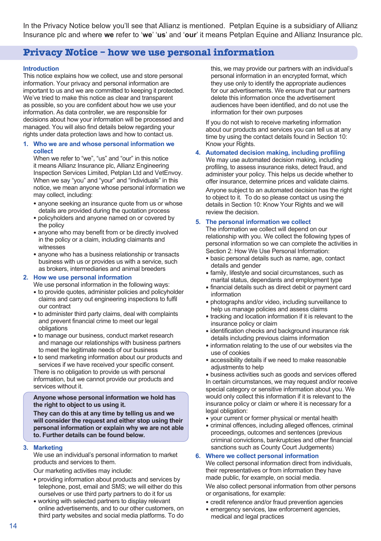In the Privacy Notice below you'll see that Allianz is mentioned. Petplan Equine is a subsidiary of Allianz Insurance plc and where **we** refer to '**we**' '**us**' and '**our**' it means Petplan Equine and Allianz Insurance plc.

### **Privacy Notice – how we use personal information**

#### **Introduction**

This notice explains how we collect, use and store personal information. Your privacy and personal information are important to us and we are committed to keeping it protected. We've tried to make this notice as clear and transparent as possible, so you are confident about how we use your information. As data controller, we are responsible for decisions about how your information will be processed and managed. You will also find details below regarding your rights under data protection laws and how to contact us.

#### **1. Who we are and whose personal information we collect**

When we refer to "we", "us" and "our" in this notice it means Allianz Insurance plc, Allianz Engineering Inspection Services Limited, Petplan Ltd and VetEnvoy. When we say "you" and "your" and "individuals" in this notice, we mean anyone whose personal information we may collect, including:

- anyone seeking an insurance quote from us or whose details are provided during the quotation process
- policyholders and anyone named on or covered by the policy
- anyone who may benefit from or be directly involved in the policy or a claim, including claimants and witnesses
- anyone who has a business relationship or transacts business with us or provides us with a service, such as brokers, intermediaries and animal breeders

#### **2. How we use personal information**

We use personal information in the following ways:

- to provide quotes, administer policies and policyholder claims and carry out engineering inspections to fulfil our contract
- to administer third party claims, deal with complaints and prevent financial crime to meet our legal obligations
- to manage our business, conduct market research and manage our relationships with business partners to meet the legitimate needs of our business
- to send marketing information about our products and services if we have received your specific consent.

There is no obligation to provide us with personal information, but we cannot provide our products and services without it.

**Anyone whose personal information we hold has the right to object to us using it.**

**They can do this at any time by telling us and we will consider the request and either stop using their personal information or explain why we are not able to. Further details can be found below.**

#### **3. Marketing**

We use an individual's personal information to market products and services to them.

Our marketing activities may include:

- providing information about products and services by telephone, post, email and SMS; we will either do this ourselves or use third party partners to do it for us
- working with selected partners to display relevant online advertisements, and to our other customers, on third party websites and social media platforms. To do

this, we may provide our partners with an individual's personal information in an encrypted format, which they use only to identify the appropriate audiences for our advertisements. We ensure that our partners delete this information once the advertisement audiences have been identified, and do not use the information for their own purposes

If you do not wish to receive marketing information about our products and services you can tell us at any time by using the contact details found in Section 10: Know your Rights.

#### **4. Automated decision making, including profiling**

We may use automated decision making, including profiling, to assess insurance risks, detect fraud, and administer your policy. This helps us decide whether to offer insurance, determine prices and validate claims. Anyone subject to an automated decision has the right to object to it. To do so please contact us using the details in Section 10: Know Your Rights and we will review the decision.

#### **5. The personal information we collect**

The information we collect will depend on our relationship with you. We collect the following types of personal information so we can complete the activities in Section 2: How We Use Personal Information:

- basic personal details such as name, age, contact details and gender
- family, lifestyle and social circumstances, such as marital status, dependants and employment type
- financial details such as direct debit or payment card information
- photographs and/or video, including surveillance to help us manage policies and assess claims
- tracking and location information if it is relevant to the insurance policy or claim
- identification checks and background insurance risk details including previous claims information
- information relating to the use of our websites via the use of cookies
- accessibility details if we need to make reasonable adjustments to help

• business activities such as goods and services offered In certain circumstances, we may request and/or receive special category or sensitive information about you. We would only collect this information if it is relevant to the insurance policy or claim or where it is necessary for a legal obligation:

- your current or former physical or mental health
- criminal offences, including alleged offences, criminal proceedings, outcomes and sentences (previous criminal convictions, bankruptcies and other financial sanctions such as County Court Judgements)

#### **6. Where we collect personal information**

We collect personal information direct from individuals, their representatives or from information they have made public, for example, on social media.

We also collect personal information from other persons or organisations, for example:

- credit reference and/or fraud prevention agencies
- emergency services, law enforcement agencies, medical and legal practices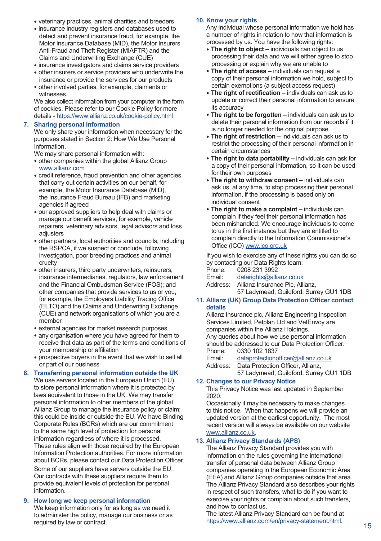- veterinary practices, animal charities and breeders
- insurance industry registers and databases used to detect and prevent insurance fraud, for example, the Motor Insurance Database (MID), the Motor Insurers Anti-Fraud and Theft Register (MIAFTR) and the Claims and Underwriting Exchange (CUE)
- insurance investigators and claims service providers
- other insurers or service providers who underwrite the insurance or provide the services for our products
- other involved parties, for example, claimants or witnesses.

We also collect information from your computer in the form of cookies. Please refer to our Cookie Policy for more details - https://www.allianz.co.uk/cookie-policy.html

#### **7. Sharing personal information**

We only share your information when necessary for the purposes stated in Section 2: How We Use Personal Information.

We may share personal information with:

- other companies within the global Allianz Group www.allianz.com
- credit reference, fraud prevention and other agencies that carry out certain activities on our behalf, for example, the Motor Insurance Database (MID), the Insurance Fraud Bureau (IFB) and marketing agencies if agreed
- our approved suppliers to help deal with claims or manage our benefit services, for example, vehicle repairers, veterinary advisors, legal advisors and loss adjusters
- other partners, local authorities and councils, including the RSPCA, if we suspect or conclude, following investigation, poor breeding practices and animal cruelty
- other insurers, third party underwriters, reinsurers, insurance intermediaries, regulators, law enforcement and the Financial Ombudsman Service (FOS); and other companies that provide services to us or you, for example, the Employers Liability Tracing Office (ELTO) and the Claims and Underwriting Exchange (CUE) and network organisations of which you are a member
- external agencies for market research purposes
- any organisation where you have agreed for them to receive that data as part of the terms and conditions of your membership or affiliation
- prospective buyers in the event that we wish to sell all or part of our business

#### **8. Transferring personal information outside the UK** We use servers located in the European Union (EU) to store personal information where it is protected by laws equivalent to those in the UK. We may transfer personal information to other members of the global Allianz Group to manage the insurance policy or claim; this could be inside or outside the EU. We have Binding Corporate Rules (BCRs) which are our commitment to the same high level of protection for personal information regardless of where it is processed. These rules align with those required by the European Information Protection authorities. For more information about BCRs, please contact our Data Protection Officer. Some of our suppliers have servers outside the EU. Our contracts with these suppliers require them to provide equivalent levels of protection for personal information.

#### **9. How long we keep personal information** We keep information only for as long as we need it to administer the policy, manage our business or as required by law or contract.

#### **10. Know your rights**

Any individual whose personal information we hold has a number of rights in relation to how that information is processed by us. You have the following rights:

- **The right to object –** individuals can object to us processing their data and we will either agree to stop processing or explain why we are unable to
- **The right of access –** individuals can request a copy of their personal information we hold, subject to certain exemptions (a subject access request)
- **The right of rectification –** individuals can ask us to update or correct their personal information to ensure its accuracy
- **The right to be forgotten –** individuals can ask us to delete their personal information from our records if it is no longer needed for the original purpose
- **The right of restriction –** individuals can ask us to restrict the processing of their personal information in certain circumstances
- **The right to data portability –** individuals can ask for a copy of their personal information, so it can be used for their own purposes
- **The right to withdraw consent –** individuals can ask us, at any time, to stop processing their personal information, if the processing is based only on individual consent
- **The right to make a complaint –** individuals can complain if they feel their personal information has been mishandled. We encourage individuals to come to us in the first instance but they are entitled to complain directly to the Information Commissioner's Office (ICO) www.ico.org.uk

If you wish to exercise any of these rights you can do so by contacting our Data Rights team:

| Phone:   | 0208 231 3992                          |
|----------|----------------------------------------|
| Email:   | datarights@allianz.co.uk               |
| Address: | Allianz Insurance Plc. Allianz.        |
|          | 57 Ladymead, Guildford, Surrey GU1 1DB |

#### **11. Allianz (UK) Group Data Protection Officer contact details**

Allianz Insurance plc, Allianz Engineering Inspection Services Limited, Petplan Ltd and VetEnvoy are companies within the Allianz Holdings. Any queries about how we use personal information should be addressed to our Data Protection Officer: Phone: 0330 102 1837

Email: dataprotectionofficer@allianz.co.uk Address: Data Protection Officer, Allianz, 57 Ladymead, Guildford, Surrey GU1 1DB

#### **12. Changes to our Privacy Notice**

This Privacy Notice was last updated in September 2020.

Occasionally it may be necessary to make changes to this notice. When that happens we will provide an updated version at the earliest opportunity. The most recent version will always be available on our website www.allianz.co.uk.

#### **13. Allianz Privacy Standards (APS)**

The Allianz Privacy Standard provides you with information on the rules governing the international transfer of personal data between Allianz Group companies operating in the European Economic Area (EEA) and Allianz Group companies outside that area. The Allianz Privacy Standard also describes your rights in respect of such transfers, what to do if you want to exercise your rights or complain about such transfers, and how to contact us.

The latest Allianz Privacy Standard can be found at https://www.allianz.com/en/privacy-statement.html.